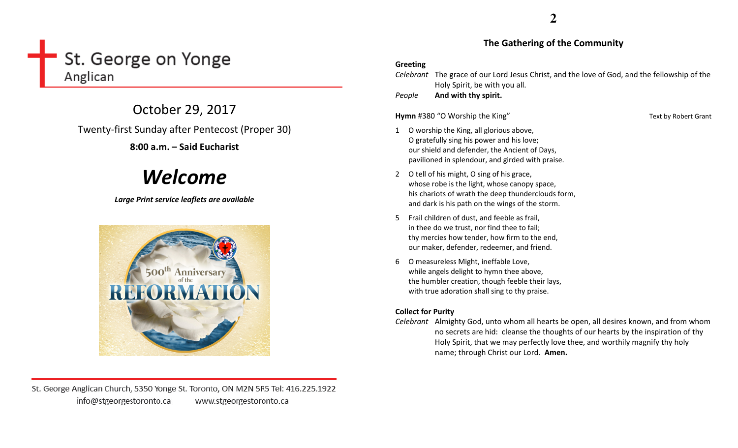# St. George on Yonge Anglican

October 29, 2017 Twenty-first Sunday after Pentecost (Proper 30) 8:00 a.m. – Said Eucharist

# Welcome

Large Print service leaflets are available



St. George Anglican Church, 5350 Yonge St. Toronto, ON M2N 5R5 Tel: 416.225.1922 info@stgeorgestoronto.ca www.stgeorgestoronto.ca

# The Gathering of the Community

### Greeting

Celebrant The grace of our Lord Jesus Christ, and the love of God, and the fellowship of the Holy Spirit, be with you all.

PeopleAnd with thy spirit.

Hymn #380 "O Worship the King" Text by Robert Grant

- 1 O worship the King, all glorious above, O gratefully sing his power and his love; our shield and defender, the Ancient of Days, pavilioned in splendour, and girded with praise.
- 2 O tell of his might, O sing of his grace, whose robe is the light, whose canopy space, his chariots of wrath the deep thunderclouds form, and dark is his path on the wings of the storm.
- 5 Frail children of dust, and feeble as frail, in thee do we trust, nor find thee to fail; thy mercies how tender, how firm to the end, our maker, defender, redeemer, and friend.
- 6 O measureless Might, ineffable Love, while angels delight to hymn thee above, the humbler creation, though feeble their lays, with true adoration shall sing to thy praise.

# Collect for Purity

Celebrant Almighty God, unto whom all hearts be open, all desires known, and from whom no secrets are hid: cleanse the thoughts of our hearts by the inspiration of thy Holy Spirit, that we may perfectly love thee, and worthily magnify thy holy name; through Christ our Lord. Amen.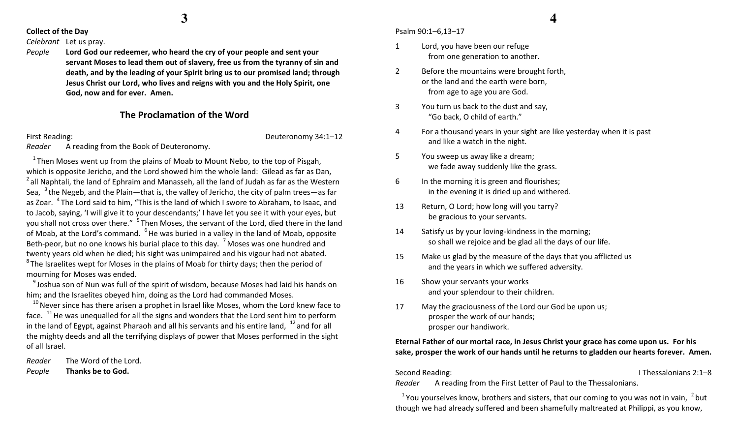**3**

#### Collect of the Day

#### Celebrant Let us pray.

People Lord God our redeemer, who heard the cry of your people and sent your servant Moses to lead them out of slavery, free us from the tyranny of sin and death, and by the leading of your Spirit bring us to our promised land; through Jesus Christ our Lord, who lives and reigns with you and the Holy Spirit, one God, now and for ever. Amen.

## The Proclamation of the Word

Reader A reading from the Book of Deuteronomy.

First Reading: Deuteronomy 34:1–12

 $1$ Then Moses went up from the plains of Moab to Mount Nebo, to the top of Pisgah, which is opposite Jericho, and the Lord showed him the whole land: Gilead as far as Dan,  $^2$  all Naphtali, the land of Ephraim and Manasseh, all the land of Judah as far as the Western Sea,  $3$  the Negeb, and the Plain—that is, the valley of Jericho, the city of palm trees—as far as Zoar. <sup>4</sup>The Lord said to him, "This is the land of which I swore to Abraham, to Isaac, and to Jacob, saying, 'I will give it to your descendants;' I have let you see it with your eyes, but you shall not cross over there." <sup>5</sup>Then Moses, the servant of the Lord, died there in the land of Moab, at the Lord's command. <sup>6</sup> He was buried in a valley in the land of Moab, opposite Beth-peor, but no one knows his burial place to this day.  $7\,\mathrm{Moses}$  was one hundred and twenty years old when he died; his sight was unimpaired and his vigour had not abated.  $8<sup>8</sup>$ The Israelites wept for Moses in the plains of Moab for thirty days; then the period of mourning for Moses was ended.

<sup>9</sup> Joshua son of Nun was full of the spirit of wisdom, because Moses had laid his hands on him; and the Israelites obeyed him, doing as the Lord had commanded Moses.

 $^{10}$  Never since has there arisen a prophet in Israel like Moses, whom the Lord knew face to face.  $11$  He was unequalled for all the signs and wonders that the Lord sent him to perform in the land of Egypt, against Pharaoh and all his servants and his entire land,  $12$  and for all the mighty deeds and all the terrifying displays of power that Moses performed in the sight of all Israel.

Reader The Word of the Lord.

PeopleThanks be to God. Psalm 90:1–6,13–17

- 1 Lord, you have been our refuge from one generation to another.
- 2 Before the mountains were brought forth, or the land and the earth were born, from age to age you are God.
- 3 You turn us back to the dust and say, "Go back, O child of earth."
- 4 For a thousand years in your sight are like yesterday when it is past and like a watch in the night.
- 5 You sweep us away like a dream; we fade away suddenly like the grass.
- 6 In the morning it is green and flourishes; in the evening it is dried up and withered.
- 13 Return, O Lord; how long will you tarry? be gracious to your servants.
- 14 Satisfy us by your loving-kindness in the morning; so shall we rejoice and be glad all the days of our life.
- 15 Make us glad by the measure of the days that you afflicted us and the years in which we suffered adversity.
- 16 Show your servants your works and your splendour to their children.
- 17 May the graciousness of the Lord our God be upon us; prosper the work of our hands; prosper our handiwork.

## Eternal Father of our mortal race, in Jesus Christ your grace has come upon us. For his sake, prosper the work of our hands until he returns to gladden our hearts forever. Amen.

Second Reading: I Thessalonians 2:1–8

Reader A reading from the First Letter of Paul to the Thessalonians.

 $1$  You yourselves know, brothers and sisters, that our coming to you was not in vain,  $2$  but though we had already suffered and been shamefully maltreated at Philippi, as you know,

# **4**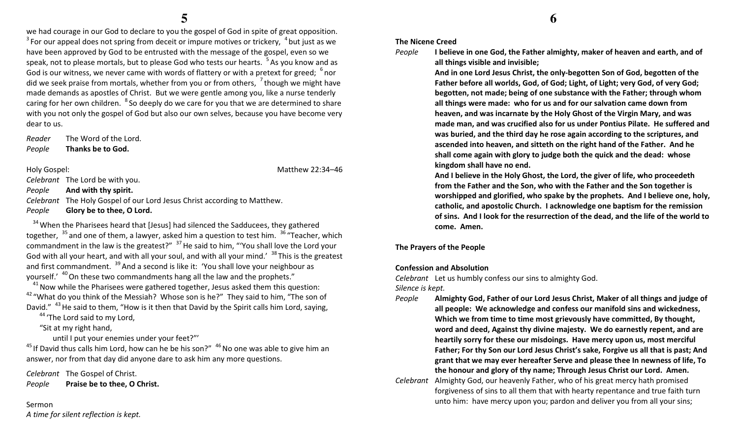we had courage in our God to declare to you the gospel of God in spite of great opposition.  $3$  For our appeal does not spring from deceit or impure motives or trickery,  $4$  but just as we have been approved by God to be entrusted with the message of the gospel, even so we speak, not to please mortals, but to please God who tests our hearts. <sup>5</sup>As you know and as God is our witness, we never came with words of flattery or with a pretext for greed;  $6\%$  nor did we seek praise from mortals, whether from you or from others,  $\frac{7}{1}$  though we might have made demands as apostles of Christ. But we were gentle among you, like a nurse tenderly caring for her own children. <sup>8</sup> So deeply do we care for you that we are determined to share with you not only the gospel of God but also our own selves, because you have become very dear to us.

Reader The Word of the Lord. PeopleThanks be to God.

Holy Gospel: Matthew 22:34–46

Celebrant The Lord be with you.

PeopleAnd with thy spirit.

Celebrant The Holy Gospel of our Lord Jesus Christ according to Matthew. PeopleGlory be to thee, O Lord.

 $34$  When the Pharisees heard that [Jesus] had silenced the Sadducees, they gathered together, <sup>35</sup> and one of them, a lawyer, asked him a question to test him. <sup>36</sup> "Teacher, which commandment in the law is the greatest?"  $37$  He said to him, "You shall love the Lord your God with all your heart, and with all your soul, and with all your mind.'  $38$  This is the greatest and first commandment.  $39$  And a second is like it: 'You shall love your neighbour as yourself.'  $40$ On these two commandments hang all the law and the prophets."

 $41$ Now while the Pharisees were gathered together, Jesus asked them this question:  $42$  "What do you think of the Messiah? Whose son is he?" They said to him, "The son of David." <sup>43</sup> He said to them, "How is it then that David by the Spirit calls him Lord, saying,

<sup>44</sup> 'The Lord said to my Lord.

"Sit at my right hand,

until I put your enemies under your feet?"'

 $^{45}$  If David thus calls him Lord, how can he be his son?"  $^{46}$  No one was able to give him an answer, nor from that day did anyone dare to ask him any more questions.

Celebrant The Gospel of Christ. PeoplePraise be to thee, O Christ.

Sermon A time for silent reflection is kept.

#### The Nicene Creed

People

 I believe in one God, the Father almighty, maker of heaven and earth, and of all things visible and invisible;

And in one Lord Jesus Christ, the only-begotten Son of God, begotten of the Father before all worlds, God, of God; Light, of Light; very God, of very God; begotten, not made; being of one substance with the Father; through whom all things were made: who for us and for our salvation came down from heaven, and was incarnate by the Holy Ghost of the Virgin Mary, and was made man, and was crucified also for us under Pontius Pilate. He suffered and was buried, and the third day he rose again according to the scriptures, and ascended into heaven, and sitteth on the right hand of the Father. And he shall come again with glory to judge both the quick and the dead: whose kingdom shall have no end.

And I believe in the Holy Ghost, the Lord, the giver of life, who proceedeth from the Father and the Son, who with the Father and the Son together is worshipped and glorified, who spake by the prophets. And I believe one, holy, catholic, and apostolic Church. I acknowledge one baptism for the remission of sins. And I look for the resurrection of the dead, and the life of the world to come. Amen.

#### The Prayers of the People

#### Confession and Absolution

Celebrant Let us humbly confess our sins to almighty God.

Silence is kept.

- People Almighty God, Father of our Lord Jesus Christ, Maker of all things and judge of all people: We acknowledge and confess our manifold sins and wickedness, Which we from time to time most grievously have committed, By thought, word and deed, Against thy divine majesty. We do earnestly repent, and are heartily sorry for these our misdoings. Have mercy upon us, most merciful Father; For thy Son our Lord Jesus Christ's sake, Forgive us all that is past; And grant that we may ever hereafter Serve and please thee In newness of life, To the honour and glory of thy name; Through Jesus Christ our Lord. Amen.
- Celebrant Almighty God, our heavenly Father, who of his great mercy hath promised forgiveness of sins to all them that with hearty repentance and true faith turn unto him: have mercy upon you; pardon and deliver you from all your sins;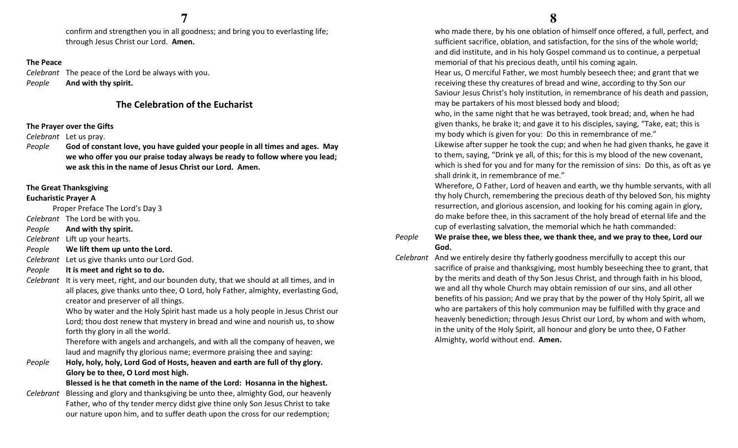confirm and strengthen you in all goodness; and bring you to everlasting life; through Jesus Christ our Lord. Amen.

#### The Peace

Celebrant The peace of the Lord be always with you. PeopleAnd with thy spirit.

# The Celebration of the Eucharist

#### The Prayer over the Gifts

Celebrant Let us pray.

People God of constant love, you have guided your people in all times and ages. May we who offer you our praise today always be ready to follow where you lead; we ask this in the name of Jesus Christ our Lord. Amen.

#### The Great Thanksgiving

#### Eucharistic Prayer A

Proper Preface The Lord's Day 3

Celebrant The Lord be with you.

PeopleAnd with thy spirit.

Celebrant Lift up your hearts.

PeopleWe lift them up unto the Lord.

Celebrant Let us give thanks unto our Lord God.

PeopleIt is meet and right so to do.

Celebrant It is very meet, right, and our bounden duty, that we should at all times, and in all places, give thanks unto thee, O Lord, holy Father, almighty, everlasting God, creator and preserver of all things.

> Who by water and the Holy Spirit hast made us a holy people in Jesus Christ our Lord; thou dost renew that mystery in bread and wine and nourish us, to show forth thy glory in all the world.

Therefore with angels and archangels, and with all the company of heaven, we laud and magnify thy glorious name; evermore praising thee and saying:

 $e$  Holy, holy, holy, Lord God of Hosts, heaven and earth are full of thy glory. PeopleGlory be to thee, O Lord most high.

Blessed is he that cometh in the name of the Lord: Hosanna in the highest.

Celebrant Blessing and glory and thanksgiving be unto thee, almighty God, our heavenly Father, who of thy tender mercy didst give thine only Son Jesus Christ to take our nature upon him, and to suffer death upon the cross for our redemption;

 who made there, by his one oblation of himself once offered, a full, perfect, and sufficient sacrifice, oblation, and satisfaction, for the sins of the whole world; and did institute, and in his holy Gospel command us to continue, a perpetual memorial of that his precious death, until his coming again.

Hear us, O merciful Father, we most humbly beseech thee; and grant that we receiving these thy creatures of bread and wine, according to thy Son our Saviour Jesus Christ's holy institution, in remembrance of his death and passion, may be partakers of his most blessed body and blood;

who, in the same night that he was betrayed, took bread; and, when he had given thanks, he brake it; and gave it to his disciples, saying, "Take, eat; this is my body which is given for you: Do this in remembrance of me."

Likewise after supper he took the cup; and when he had given thanks, he gave it to them, saying, "Drink ye all, of this; for this is my blood of the new covenant, which is shed for you and for many for the remission of sins: Do this, as oft as ye shall drink it, in remembrance of me."

Wherefore, O Father, Lord of heaven and earth, we thy humble servants, with all thy holy Church, remembering the precious death of thy beloved Son, his mighty resurrection, and glorious ascension, and looking for his coming again in glory, do make before thee, in this sacrament of the holy bread of eternal life and the cup of everlasting salvation, the memorial which he hath commanded:

#### People We praise thee, we bless thee, we thank thee, and we pray to thee, Lord our God.

Celebrant And we entirely desire thy fatherly goodness mercifully to accept this our sacrifice of praise and thanksgiving, most humbly beseeching thee to grant, that by the merits and death of thy Son Jesus Christ, and through faith in his blood, we and all thy whole Church may obtain remission of our sins, and all other benefits of his passion; And we pray that by the power of thy Holy Spirit, all we who are partakers of this holy communion may be fulfilled with thy grace and heavenly benediction; through Jesus Christ our Lord, by whom and with whom, in the unity of the Holy Spirit, all honour and glory be unto thee, O Father Almighty, world without end. Amen.